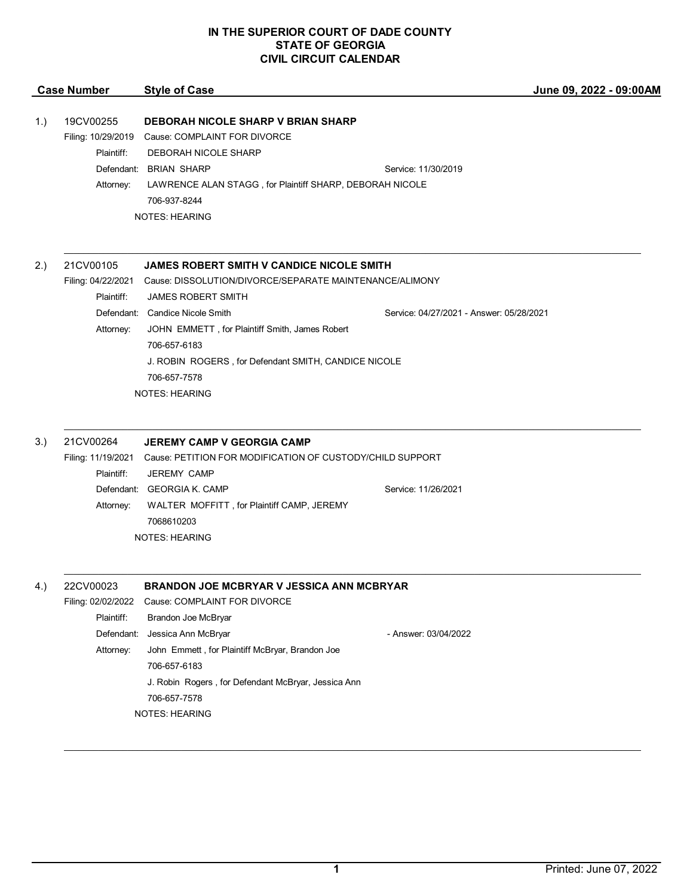## **IN THE SUPERIOR COURT OF DADE COUNTY STATE OF GEORGIA CIVIL CIRCUIT CALENDAR**

|     | <b>Case Number</b>                                         | <b>Style of Case</b>                                                                                                                                                                                                             | June 09, 2022 - 09:00AM                  |
|-----|------------------------------------------------------------|----------------------------------------------------------------------------------------------------------------------------------------------------------------------------------------------------------------------------------|------------------------------------------|
| 1.) | 19CV00255<br>Filing: 10/29/2019<br>Plaintiff:<br>Attorney: | <b>DEBORAH NICOLE SHARP V BRIAN SHARP</b><br>Cause: COMPLAINT FOR DIVORCE<br>DEBORAH NICOLE SHARP<br>Defendant: BRIAN SHARP<br>LAWRENCE ALAN STAGG, for Plaintiff SHARP, DEBORAH NICOLE<br>706-937-8244<br><b>NOTES: HEARING</b> | Service: 11/30/2019                      |
| 2.) | 21CV00105<br>Filing: 04/22/2021<br>Plaintiff:              | JAMES ROBERT SMITH V CANDICE NICOLE SMITH<br>Cause: DISSOLUTION/DIVORCE/SEPARATE MAINTENANCE/ALIMONY<br><b>JAMES ROBERT SMITH</b>                                                                                                |                                          |
|     | Attorney:                                                  | Defendant: Candice Nicole Smith<br>JOHN EMMETT, for Plaintiff Smith, James Robert<br>706-657-6183<br>J. ROBIN ROGERS, for Defendant SMITH, CANDICE NICOLE<br>706-657-7578<br><b>NOTES: HEARING</b>                               | Service: 04/27/2021 - Answer: 05/28/2021 |
| 3.) | 21CV00264<br>Filing: 11/19/2021                            | <b>JEREMY CAMP V GEORGIA CAMP</b><br>Cause: PETITION FOR MODIFICATION OF CUSTODY/CHILD SUPPORT                                                                                                                                   |                                          |
|     | Plaintiff:<br>Attorney:                                    | <b>JEREMY CAMP</b><br>Defendant: GEORGIA K. CAMP<br>WALTER MOFFITT, for Plaintiff CAMP, JEREMY<br>7068610203<br><b>NOTES: HEARING</b>                                                                                            | Service: 11/26/2021                      |
| 4.) | 22CV00023<br>Plaintiff:<br>Defendant:<br>Attorney:         | BRANDON JOE MCBRYAR V JESSICA ANN MCBRYAR<br>Filing: 02/02/2022 Cause: COMPLAINT FOR DIVORCE<br>Brandon Joe McBryar<br>Jessica Ann McBryar<br>John Emmett, for Plaintiff McBryar, Brandon Joe<br>706-657-6183                    | - Answer: 03/04/2022                     |
|     |                                                            | J. Robin Rogers, for Defendant McBryar, Jessica Ann<br>706-657-7578<br><b>NOTES: HEARING</b>                                                                                                                                     |                                          |

\_\_\_\_\_\_\_\_\_\_\_\_\_\_\_\_\_\_\_\_\_\_\_\_\_\_\_\_\_\_\_\_\_\_\_\_\_\_\_\_\_\_\_\_\_\_\_\_\_\_\_\_\_\_\_\_\_\_\_\_\_\_\_\_\_\_\_\_\_\_\_\_\_\_\_\_\_\_\_\_\_\_\_\_\_\_\_\_\_\_\_\_\_\_\_\_\_\_\_\_\_\_\_\_\_\_\_\_\_\_\_\_\_\_\_\_\_\_